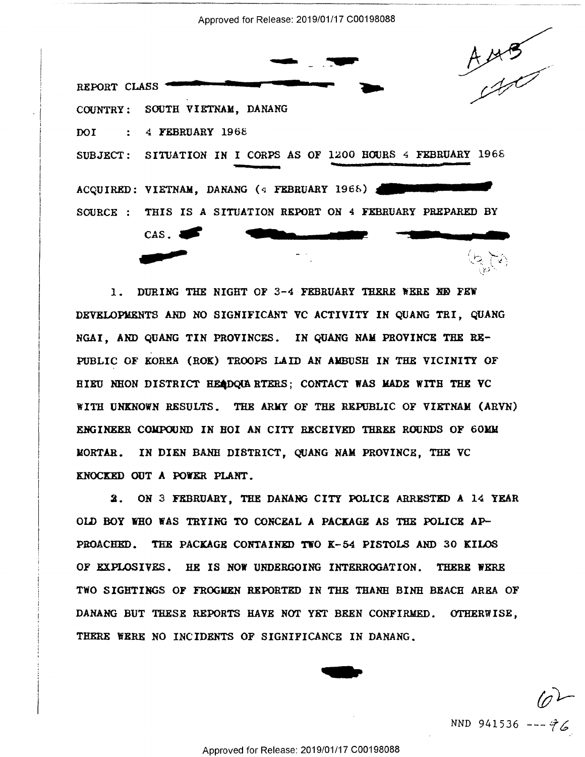Approved for Release: 2019/01/17 C00198088 Approved for Release: 2019/01/17 000198088

---------------------········------------- ······-··



 $1.1$   $-1.1$ 

 $\overline{\phantom{a}}$  .  $\overline{\phantom{a}}$ REPORT CLASS REPORT CLASS **A MAYS**<br>COUNTRY: SOUTH VIETNAM, DANANG DOI : 4 FEBRUARY 196£ DOI : 4 FEBRUARY 1968 SUBJECT: SITUATION IN I CORPS AS OF 1200 HOURS 4 FEBRUARY 1968 ACQUIRED: VIETNAM, DANANG (4 FEBRUARY 1968) SOURCE : THIS IS A SITUATION REPORT ON 4 FEBRUARY PREPARED BY CAS. COUNTRY: SOUTH YIETNAE, DANANG .\_.\_. \_\_ Ill"" "'. {EIEEQa

1. DURING THE NIGHT OF 3-4 FEBRUARY THERE WERE NO FEW DEVELOPMENTS AND NO SIGNIFICANT VC ACTIVITY IN QUANG TRI, QUANG NGAI, AND QUANG TIN PROVINCES. IN QUANG NAM PROVINCE THE RE-NGAI, AND QUANG TIN PROVINCES. IN QUANG RAH PROVINCE THE RE-PUBLIC OF KOREA (ROK) TROOPS LAID AN AMBUSH IN THE VICINITY OF<br>HIEU NHON DISTRICT HEADQUARTERS; CONTACT WAS MADE WITH THE VC WITH UNKNOWN RESULTS. THE ARMY OF THE REPUBLIC OF VIETNAM (ARYN) RITE UNKNOWN RESULTS. THE ARNY OF THE REPUBLIC OF YIETNAE (ARYN) ENGINEER COMPOUND IN HOI AN CITY RECEIVED THREE ROUNDS OF 60MM MORTAR. IN DIEN BANH DISTRICT, QUANG NAM PROVINCE, THE VC NORTAR. IN DIEN BANE DISTRICT, QUANG NAN PROVINCE, THE YC KNOCKED OUT A POWER PLANT. KNOCKED OUT A ROVER PLANT. HIEU NEON DISTRICT HEADQUARTERS; CONTACT WAS MADE WITH THE YC

2. ON 3 FEBRUARY, THE DANANG CITY POLICE ARRESTED **A** 14. YEAR 2. ON 3 FEBRUARY, THE DANANG CITY POLICE ARRESTED A 14 YEAR OLD BOY WHO WAS TRYING TO CONCEAL A PACKAGE AS THE POLICE AP-PROACHED. THE PACKAGE CONTAINED TWO K-54 PISTOLS AND 30 KILOS OF EXPLOSIVES. HE IS NOW UNDERGOING INTERROGATION. THERE WERE TWO SIGHTINGS OF FROGMEN REPORTED IN THE THANH BINH BEACH AREA OF DANANG BUT THESE REPORTS HAVE NOT YET BEEN CONFIRMED. OTHERWISE, DANANG BUT THESE REPORTS HAVE NOT YET BEEN CONFIRMED. OTHERWISE, THERE WERE NO INCIDENTS OF SIGNIFICANCE IN DANANG. THE SIGHTINGS OF FROGMEN REPORTED IN THE THANH B<br>DANANG BUT THESE REPORTS HAVE NOT YET BEEN CONFI<br>THERE WERE NO INCIDENTS OF SIGNIFICANCE IN DANAN<br>Approved for Release: 2019/01/17 C00198088

NND 941536 ---  $\hat{76}$  $\varphi$ 

'IIII PARTIESE STATISTICS